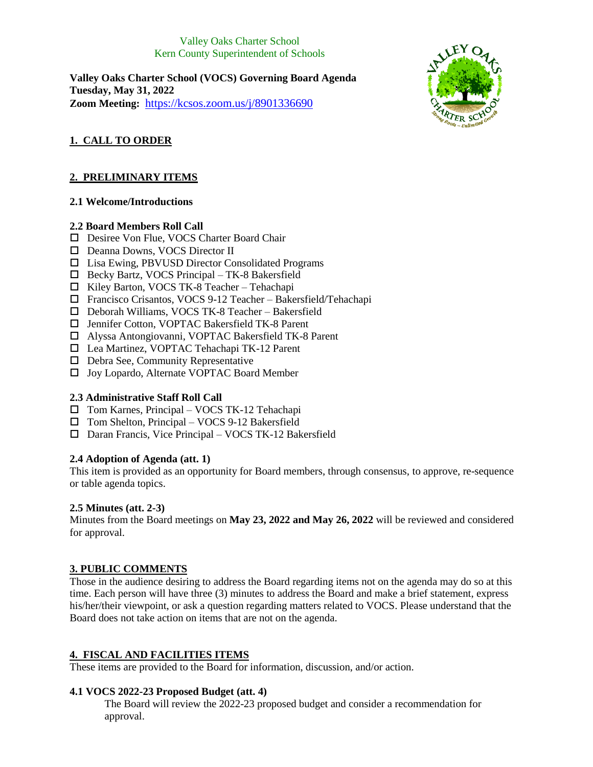## Valley Oaks Charter School Kern County Superintendent of Schools

**Valley Oaks Charter School (VOCS) Governing Board Agenda Tuesday, May 31, 2022 Zoom Meeting:** <https://kcsos.zoom.us/j/8901336690>



# **1. CALL TO ORDER**

# **2. PRELIMINARY ITEMS**

# **2.1 Welcome/Introductions**

# **2.2 Board Members Roll Call**

- Desiree Von Flue, VOCS Charter Board Chair
- Deanna Downs, VOCS Director II
- $\Box$  Lisa Ewing, PBVUSD Director Consolidated Programs
- $\square$  Becky Bartz, VOCS Principal TK-8 Bakersfield
- $\Box$  Kiley Barton, VOCS TK-8 Teacher Tehachapi
- Francisco Crisantos, VOCS 9-12 Teacher Bakersfield/Tehachapi
- $\Box$  Deborah Williams, VOCS TK-8 Teacher Bakersfield
- □ Jennifer Cotton, VOPTAC Bakersfield TK-8 Parent
- Alyssa Antongiovanni, VOPTAC Bakersfield TK-8 Parent
- Lea Martinez, VOPTAC Tehachapi TK-12 Parent
- $\Box$  Debra See, Community Representative
- □ Joy Lopardo, Alternate VOPTAC Board Member

# **2.3 Administrative Staff Roll Call**

- Tom Karnes, Principal VOCS TK-12 Tehachapi
- $\Box$  Tom Shelton, Principal VOCS 9-12 Bakersfield
- $\Box$  Daran Francis, Vice Principal VOCS TK-12 Bakersfield

### **2.4 Adoption of Agenda (att. 1)**

This item is provided as an opportunity for Board members, through consensus, to approve, re-sequence or table agenda topics.

### **2.5 Minutes (att. 2-3)**

Minutes from the Board meetings on **May 23, 2022 and May 26, 2022** will be reviewed and considered for approval.

# **3. PUBLIC COMMENTS**

Those in the audience desiring to address the Board regarding items not on the agenda may do so at this time. Each person will have three (3) minutes to address the Board and make a brief statement, express his/her/their viewpoint, or ask a question regarding matters related to VOCS. Please understand that the Board does not take action on items that are not on the agenda.

# **4. FISCAL AND FACILITIES ITEMS**

These items are provided to the Board for information, discussion, and/or action.

# **4.1 VOCS 2022-23 Proposed Budget (att. 4)**

The Board will review the 2022-23 proposed budget and consider a recommendation for approval.